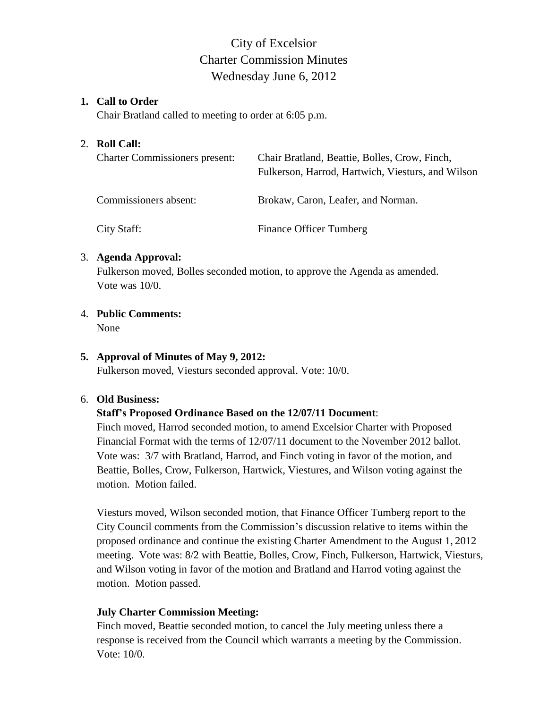# City of Excelsior Charter Commission Minutes Wednesday June 6, 2012

#### **1. Call to Order**

Chair Bratland called to meeting to order at 6:05 p.m.

#### 2. **Roll Call:**

| <b>Charter Commissioners present:</b> | Chair Bratland, Beattie, Bolles, Crow, Finch,<br>Fulkerson, Harrod, Hartwich, Viesturs, and Wilson |
|---------------------------------------|----------------------------------------------------------------------------------------------------|
| Commissioners absent:                 | Brokaw, Caron, Leafer, and Norman.                                                                 |
| City Staff:                           | <b>Finance Officer Tumberg</b>                                                                     |

#### 3. **Agenda Approval:**

Fulkerson moved, Bolles seconded motion, to approve the Agenda as amended. Vote was 10/0.

### 4. **Public Comments:**

None

## **5. Approval of Minutes of May 9, 2012:**

Fulkerson moved, Viesturs seconded approval. Vote: 10/0.

#### 6. **Old Business:**

## **Staff's Proposed Ordinance Based on the 12/07/11 Document**:

Finch moved, Harrod seconded motion, to amend Excelsior Charter with Proposed Financial Format with the terms of 12/07/11 document to the November 2012 ballot. Vote was: 3/7 with Bratland, Harrod, and Finch voting in favor of the motion, and Beattie, Bolles, Crow, Fulkerson, Hartwick, Viestures, and Wilson voting against the motion. Motion failed.

Viesturs moved, Wilson seconded motion, that Finance Officer Tumberg report to the City Council comments from the Commission's discussion relative to items within the proposed ordinance and continue the existing Charter Amendment to the August 1, 2012 meeting. Vote was: 8/2 with Beattie, Bolles, Crow, Finch, Fulkerson, Hartwick, Viesturs, and Wilson voting in favor of the motion and Bratland and Harrod voting against the motion. Motion passed.

## **July Charter Commission Meeting:**

Finch moved, Beattie seconded motion, to cancel the July meeting unless there a response is received from the Council which warrants a meeting by the Commission. Vote: 10/0.